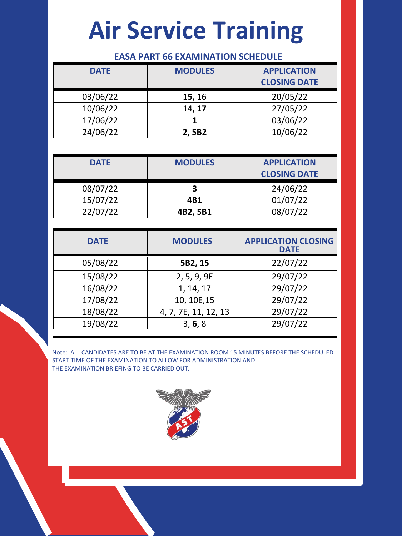## **Air Service Training**

## **EASA PART 66 EXAMINATION SCHEDULE**

| <b>DATE</b> | <b>MODULES</b> | <b>APPLICATION</b>  |
|-------------|----------------|---------------------|
|             |                | <b>CLOSING DATE</b> |
| 03/06/22    | <b>15, 16</b>  | 20/05/22            |
| 10/06/22    | 14, 17         | 27/05/22            |
| 17/06/22    |                | 03/06/22            |
| 24/06/22    | 2,5B2          | 10/06/22            |

| <b>DATE</b> | <b>MODULES</b> | <b>APPLICATION</b><br><b>CLOSING DATE</b> |
|-------------|----------------|-------------------------------------------|
| 08/07/22    |                | 24/06/22                                  |
| 15/07/22    | 4B1            | 01/07/22                                  |
| 22/07/22    | 4B2, 5B1       | 08/07/22                                  |

| <b>DATE</b> | <b>MODULES</b>       | <b>APPLICATION CLOSING</b><br><b>DATE</b> |
|-------------|----------------------|-------------------------------------------|
| 05/08/22    | 5B2, 15              | 22/07/22                                  |
| 15/08/22    | 2, 5, 9, 9E          | 29/07/22                                  |
| 16/08/22    | 1, 14, 17            | 29/07/22                                  |
| 17/08/22    | 10, 10E, 15          | 29/07/22                                  |
| 18/08/22    | 4, 7, 7E, 11, 12, 13 | 29/07/22                                  |
| 19/08/22    | 3, 6, 8              | 29/07/22                                  |

Note: ALL CANDIDATES ARE TO BE AT THE EXAMINATION ROOM 15 MINUTES BEFORE THE SCHEDULED START TIME OF THE EXAMINATION TO ALLOW FOR ADMINISTRATION AND THE EXAMINATION BRIEFING TO BE CARRIED OUT.